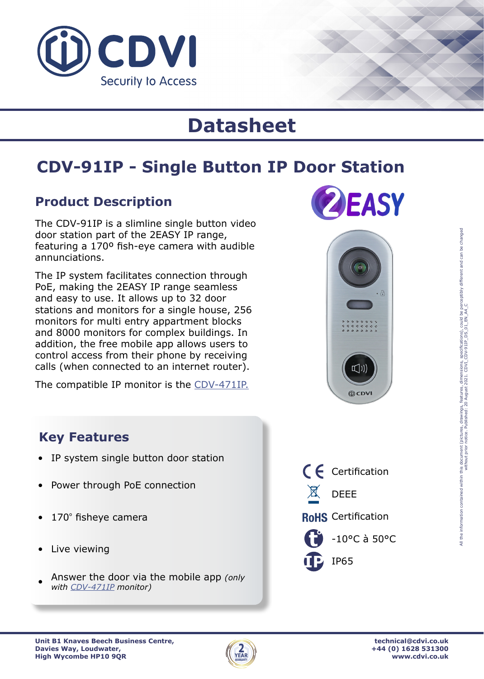

# **Datasheet**

## **CDV-91IP - Single Button IP Door Station**

#### **Product Description**

The CDV-91IP is a slimline single button video door station part of the 2EASY IP range, featuring a 170º fish-eye camera with audible annunciations.

The IP system facilitates connection through PoE, making the 2EASY IP range seamless and easy to use. It allows up to 32 door stations and monitors for a single house, 256 monitors for multi entry appartment blocks and 8000 monitors for complex buildings. In addition, the free mobile app allows users to control access from their phone by receiving calls (when connected to an internet router).

The compatible IP monitor is the [CDV-471IP.](https://cdvi.co.uk/catalogue/2easy-ip/cdv-471ip)





#### **Key Features**

- IP system single button door station
- Power through PoE connection
- 170º fisheye camera
- Live viewing
- Answer the door via the mobile app *(only with [CDV-471IP](https://cdvi.co.uk/catalogue/2easy-ip/cdv-471ip) monitor)*